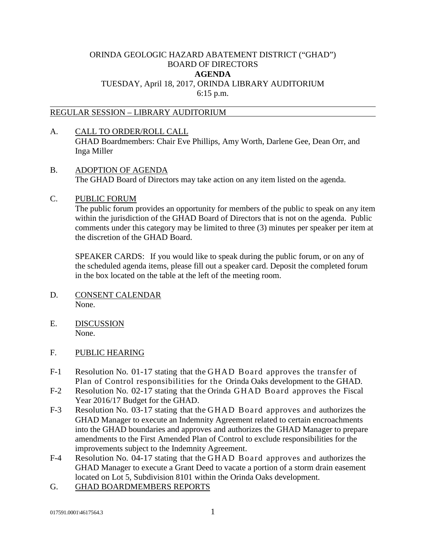# ORINDA GEOLOGIC HAZARD ABATEMENT DISTRICT ("GHAD") BOARD OF DIRECTORS **AGENDA** TUESDAY, April 18, 2017, ORINDA LIBRARY AUDITORIUM 6:15 p.m.

### REGULAR SESSION – LIBRARY AUDITORIUM

- A. CALL TO ORDER/ROLL CALL GHAD Boardmembers: Chair Eve Phillips, Amy Worth, Darlene Gee, Dean Orr, and Inga Miller
- B. ADOPTION OF AGENDA The GHAD Board of Directors may take action on any item listed on the agenda.

## C. PUBLIC FORUM

The public forum provides an opportunity for members of the public to speak on any item within the jurisdiction of the GHAD Board of Directors that is not on the agenda. Public comments under this category may be limited to three (3) minutes per speaker per item at the discretion of the GHAD Board.

SPEAKER CARDS: If you would like to speak during the public forum, or on any of the scheduled agenda items, please fill out a speaker card. Deposit the completed forum in the box located on the table at the left of the meeting room.

- D. CONSENT CALENDAR None.
- E. DISCUSSION None.

# F. PUBLIC HEARING

- F-1 Resolution No. 01-17 stating that the GHAD Board approves the transfer of Plan of Control responsibilities for the Orinda Oaks development to the GHAD.
- F-2 Resolution No. 02-17 stating that the Orinda GHAD Board approves the Fiscal Year 2016/17 Budget for the GHAD.
- F-3 Resolution No. 03-17 stating that the GHAD Board approves and authorizes the GHAD Manager to execute an Indemnity Agreement related to certain encroachments into the GHAD boundaries and approves and authorizes the GHAD Manager to prepare amendments to the First Amended Plan of Control to exclude responsibilities for the improvements subject to the Indemnity Agreement.
- F-4 Resolution No. 04-17 stating that the GHAD Board approves and authorizes the GHAD Manager to execute a Grant Deed to vacate a portion of a storm drain easement located on Lot 5, Subdivision 8101 within the Orinda Oaks development.
- G. GHAD BOARDMEMBERS REPORTS